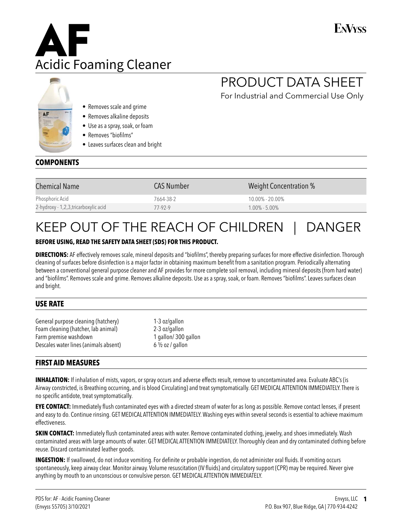

# ENVyss

# PRODUCT DATA SHEET

For Industrial and Commercial Use Only

- Removes scale and grime
- Removes alkaline deposits
- Use as a spray, soak, or foam
- Removes "biofilms"
- Leaves surfaces clean and bright

## **COMPONENTS**

| <b>Chemical Name</b>                  | <b>CAS Number</b> | <b>Weight Concentration %</b> |
|---------------------------------------|-------------------|-------------------------------|
| Phosphoric Acid                       | 7664-38-2         | $10.00\% - 20.00\%$           |
| 2-hydroxy - 1,2,3, tricarboxylic acid | 77-92-9           | $1.00\% - 5.00\%$             |

# KEEP OUT OF THE REACH OF CHILDREN | DANGER

#### **BEFORE USING, READ THE SAFETY DATA SHEET (SDS) FOR THIS PRODUCT.**

**DIRECTIONS:** AF effectively removes scale, mineral deposits and "biofilms", thereby preparing surfaces for more effective disinfection. Thorough cleaning of surfaces before disinfection is a major factor in obtaining maximum benefit from a sanitation program. Periodically alternating between a conventional general purpose cleaner and AF provides for more complete soil removal, including mineral deposits (from hard water) and "biofilms". Removes scale and grime. Removes alkaline deposits. Use as a spray, soak, or foam. Removes "biofilms". Leaves surfaces clean and bright.

#### **USE RATE**

General purpose cleaning (hatchery) 1-3 oz/gallon Foam cleaning (hatcher, lab animal) 2-3 oz/gallon Farm premise washdown 1 gallon/ 300 gallon Descales water lines (animals absent) 6 1/2 oz / gallon

## **FIRST AID MEASURES**

**INHALATION:** If inhalation of mists, vapors, or spray occurs and adverse effects result, remove to uncontaminated area. Evaluate ABC's (is Airway constricted, is Breathing occurring, and is blood Circulating) and treat symptomatically. GET MEDICAL ATTENTION IMMEDIATELY. There is no specific antidote, treat symptomatically.

**EYE CONTACT:** Immediately flush contaminated eyes with a directed stream of water for as long as possible. Remove contact lenses, if present and easy to do. Continue rinsing. GET MEDICAL ATTENTION IMMEDIATELY. Washing eyes within several seconds is essential to achieve maximum effectiveness.

**SKIN CONTACT:** Immediately flush contaminated areas with water. Remove contaminated clothing, jewelry, and shoes immediately. Wash contaminated areas with large amounts of water. GET MEDICAL ATTENTION IMMEDIATELY. Thoroughly clean and dry contaminated clothing before reuse. Discard contaminated leather goods.

**INGESTION:** If swallowed, do not induce vomiting. For definite or probable ingestion, do not administer oral fluids. If vomiting occurs spontaneously, keep airway clear. Monitor airway. Volume resuscitation (IV fluids) and circulatory support (CPR) may be required. Never give anything by mouth to an unconscious or convulsive person. GET MEDICAL ATTENTION IMMEDIATELY.